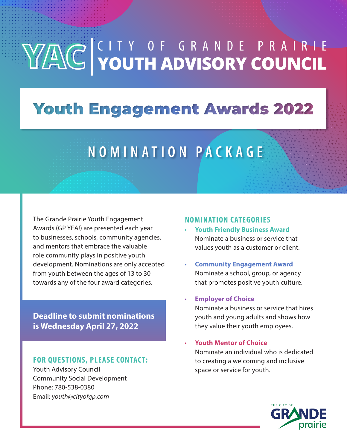# YACC YOUTH ADVISORY COUNCIL

### **Youth Engagement Awards 2022**

## **N O M I N A T I O N P A C K A G E**

The Grande Prairie Youth Engagement Awards (GP YEA!) are presented each year to businesses, schools, community agencies, and mentors that embrace the valuable role community plays in positive youth development. Nominations are only accepted from youth between the ages of 13 to 30 towards any of the four award categories.

**Deadline to submit nominations is Wednesday April 27, 2022**

#### **FOR QUESTIONS, PLEASE CONTACT:**

Youth Advisory Council Community Social Development Phone: 780-538-0380 Email: *youth@cityofgp.com*

#### **NOMINATION CATEGORIES**

- **Youth Friendly Business Award** Nominate a business or service that values youth as a customer or client.
- **Community Engagement Award** Nominate a school, group, or agency that promotes positive youth culture.

#### • **Employer of Choice**

Nominate a business or service that hires youth and young adults and shows how they value their youth employees.

• **Youth Mentor of Choice** Nominate an individual who is dedicated to creating a welcoming and inclusive space or service for youth.